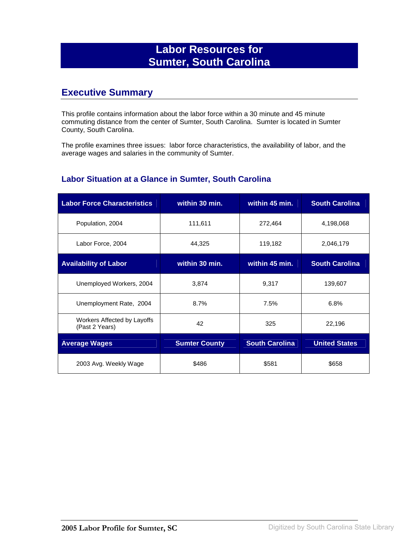## **Labor Resources for Sumter, South Carolina**

## **Executive Summary**

This profile contains information about the labor force within a 30 minute and 45 minute commuting distance from the center of Sumter, South Carolina. Sumter is located in Sumter County, South Carolina.

The profile examines three issues: labor force characteristics, the availability of labor, and the average wages and salaries in the community of Sumter.

#### **Labor Situation at a Glance in Sumter, South Carolina**

| <b>Labor Force Characteristics</b>            | within 30 min.       | within 45 min.        | <b>South Carolina</b> |
|-----------------------------------------------|----------------------|-----------------------|-----------------------|
| Population, 2004                              | 111,611              | 272,464               | 4,198,068             |
| Labor Force, 2004                             | 44,325               | 119,182               | 2,046,179             |
| <b>Availability of Labor</b>                  | within 30 min.       | within 45 min.        | <b>South Carolina</b> |
| Unemployed Workers, 2004                      | 3,874                | 9,317                 | 139,607               |
| Unemployment Rate, 2004                       | 8.7%                 | 7.5%                  | 6.8%                  |
| Workers Affected by Layoffs<br>(Past 2 Years) | 42                   | 325                   | 22,196                |
| <b>Average Wages</b>                          | <b>Sumter County</b> | <b>South Carolina</b> | <b>United States</b>  |
| 2003 Avg. Weekly Wage                         | \$486                | \$581                 | \$658                 |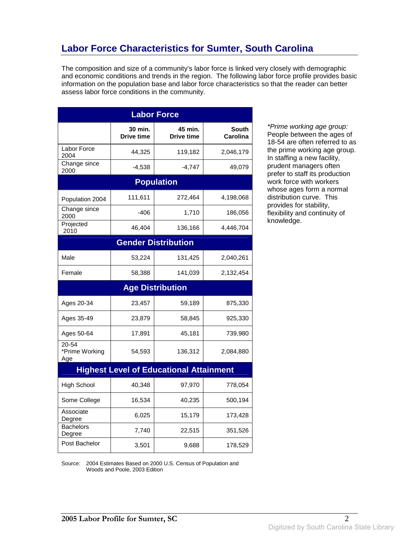# **Labor Force Characteristics for Sumter, South Carolina**

The composition and size of a community's labor force is linked very closely with demographic and economic conditions and trends in the region. The following labor force profile provides basic information on the population base and labor force characteristics so that the reader can better assess labor force conditions in the community.

| <b>Labor Force</b>             |                              |                                                |                                 |
|--------------------------------|------------------------------|------------------------------------------------|---------------------------------|
|                                | 30 min.<br><b>Drive time</b> | 45 min.<br><b>Drive time</b>                   | <b>South</b><br><b>Carolina</b> |
| Labor Force<br>2004            | 44,325                       | 119,182                                        | 2,046,179                       |
| Change since<br>2000           | $-4,538$                     | $-4,747$                                       | 49,079                          |
|                                |                              | <b>Population</b>                              |                                 |
| Population 2004                | 111,611                      | 272,464                                        | 4,198,068                       |
| Change since<br>2000           | $-406$                       | 1,710                                          | 186,056                         |
| Projected<br>2010              | 46,404                       | 136,166                                        | 4,446,704                       |
|                                |                              | <b>Gender Distribution</b>                     |                                 |
| Male                           | 53,224                       | 131,425                                        | 2,040,261                       |
| Female                         | 58,388                       | 141,039                                        | 2,132,454                       |
|                                |                              | <b>Age Distribution</b>                        |                                 |
| Ages 20-34                     | 23,457                       | 59,189                                         | 875,330                         |
| Ages 35-49                     | 23,879                       | 58,845                                         | 925,330                         |
| Ages 50-64                     | 17,891                       | 45,181                                         | 739,980                         |
| 20-54<br>*Prime Working<br>Age | 54,593                       | 136,312                                        | 2,084,880                       |
|                                |                              | <b>Highest Level of Educational Attainment</b> |                                 |
| <b>High School</b>             | 40,348                       | 97,970                                         | 778,054                         |
| Some College                   | 16,534                       | 40,235                                         | 500,194                         |
| Associate<br>Degree            | 6,025                        | 15,179                                         | 173,428                         |
| <b>Bachelors</b><br>Degree     | 7,740                        | 22,515                                         | 351,526                         |
| Post Bachelor                  |                              |                                                |                                 |

\*Prime working age group: People between the ages of 18-54 are often referred to as the prime working age group. In staffing a new facility, prudent managers often prefer to staff its production work force with workers whose ages form a normal distribution curve. This provides for stability, flexibility and continuity of knowledge.

Source: 2004 Estimates Based on 2000 U.S. Census of Population and Woods and Poole, 2003 Edition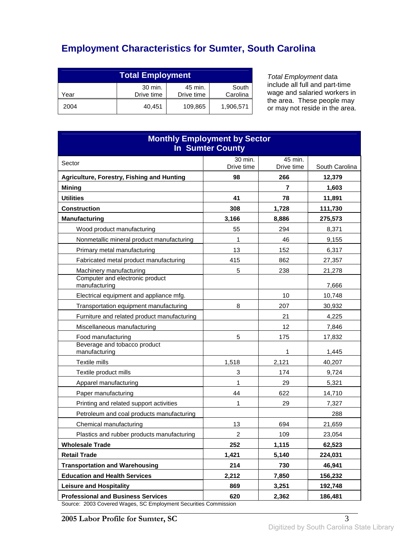# **Employment Characteristics for Sumter, South Carolina**

| <b>Total Employment</b> |                       |                       |                   |
|-------------------------|-----------------------|-----------------------|-------------------|
| Year                    | 30 min.<br>Drive time | 45 min.<br>Drive time | South<br>Carolina |
| 2004                    | 40.451                | 109,865               | 1,906,571         |

Total Employment data include all full and part-time wage and salaried workers in the area. These people may or may not reside in the area.

| <b>Monthly Employment by Sector</b><br><b>In Sumter County</b>                                       |                  |                   |                 |
|------------------------------------------------------------------------------------------------------|------------------|-------------------|-----------------|
| Sector                                                                                               | 30 min.          | 45 min.           |                 |
|                                                                                                      | Drive time<br>98 | Drive time<br>266 | South Carolina  |
| Agriculture, Forestry, Fishing and Hunting<br><b>Mining</b>                                          |                  | 7                 | 12,379<br>1,603 |
| <b>Utilities</b>                                                                                     | 41               | 78                | 11,891          |
| <b>Construction</b>                                                                                  | 308              | 1,728             | 111,730         |
| <b>Manufacturing</b>                                                                                 | 3,166            | 8,886             | 275,573         |
| Wood product manufacturing                                                                           | 55               | 294               | 8,371           |
| Nonmetallic mineral product manufacturing                                                            | 1                | 46                | 9,155           |
| Primary metal manufacturing                                                                          | 13               | 152               | 6,317           |
| Fabricated metal product manufacturing                                                               | 415              | 862               | 27,357          |
| Machinery manufacturing                                                                              | 5                | 238               | 21,278          |
| Computer and electronic product<br>manufacturing                                                     |                  |                   | 7,666           |
| Electrical equipment and appliance mfg.                                                              |                  | 10                | 10.748          |
| Transportation equipment manufacturing                                                               | 8                | 207               | 30,932          |
| Furniture and related product manufacturing                                                          |                  | 21                | 4,225           |
| Miscellaneous manufacturing                                                                          |                  | 12                | 7,846           |
| Food manufacturing                                                                                   | 5                | 175               | 17,832          |
| Beverage and tobacco product<br>manufacturing                                                        |                  | 1                 | 1,445           |
| Textile mills                                                                                        | 1,518            | 2,121             | 40,207          |
| Textile product mills                                                                                | 3                | 174               | 9,724           |
| Apparel manufacturing                                                                                | 1                | 29                | 5,321           |
| Paper manufacturing                                                                                  | 44               | 622               | 14,710          |
| Printing and related support activities                                                              | 1                | 29                | 7,327           |
| Petroleum and coal products manufacturing                                                            |                  |                   | 288             |
| Chemical manufacturing                                                                               | 13               | 694               | 21,659          |
| Plastics and rubber products manufacturing                                                           | $\overline{c}$   | 109               | 23,054          |
| <b>Wholesale Trade</b>                                                                               | 252              | 1,115             | 62,523          |
| <b>Retail Trade</b>                                                                                  | 1,421            | 5,140             | 224,031         |
| <b>Transportation and Warehousing</b>                                                                | 214              | 730               | 46,941          |
| <b>Education and Health Services</b>                                                                 | 2,212            | 7,850             | 156,232         |
| <b>Leisure and Hospitality</b>                                                                       | 869              | 3,251             | 192,748         |
| <b>Professional and Business Services</b><br>2003 Covered Wages, SC Employment Securities Commission | 620              | 2,362             | 186,481         |

Source: 2003 Covered Wages, SC Employment Securities Commission

**2005 Labor Profile for Sumter, SC** 3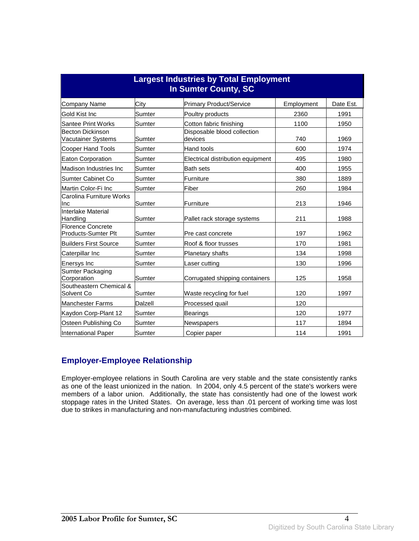| <b>Largest Industries by Total Employment</b><br>In Sumter County, SC |         |                                        |            |           |
|-----------------------------------------------------------------------|---------|----------------------------------------|------------|-----------|
| <b>Company Name</b>                                                   | City    | <b>Primary Product/Service</b>         | Employment | Date Est. |
| Gold Kist Inc                                                         | Sumter  | Poultry products                       | 2360       | 1991      |
| <b>Santee Print Works</b>                                             | Sumter  | Cotton fabric finishing                | 1100       | 1950      |
| <b>Becton Dickinson</b><br>Vacutainer Systems                         | Sumter  | Disposable blood collection<br>devices | 740        | 1969      |
| <b>Cooper Hand Tools</b>                                              | Sumter  | Hand tools                             | 600        | 1974      |
| Eaton Corporation                                                     | Sumter  | Electrical distribution equipment      | 495        | 1980      |
| Madison Industries Inc                                                | Sumter  | <b>Bath sets</b>                       | 400        | 1955      |
| Sumter Cabinet Co                                                     | Sumter  | Furniture                              | 380        | 1889      |
| Martin Color-Fi Inc                                                   | Sumter  | Fiber                                  | 260        | 1984      |
| Carolina Furniture Works<br><b>Inc</b>                                | Sumter  | Furniture                              | 213        | 1946      |
| Interlake Material<br>Handling                                        | Sumter  | Pallet rack storage systems            | 211        | 1988      |
| Florence Concrete<br>Products-Sumter Plt                              | Sumter  | lPre cast concrete                     | 197        | 1962      |
| <b>Builders First Source</b>                                          | Sumter  | Roof & floor trusses                   | 170        | 1981      |
| Caterpillar Inc                                                       | Sumter  | <b>Planetary shafts</b>                | 134        | 1998      |
| <b>Enersys Inc</b>                                                    | Sumter  | Laser cutting                          | 130        | 1996      |
| Sumter Packaging<br>Corporation                                       | Sumter  | Corrugated shipping containers         | 125        | 1958      |
| Southeastern Chemical &<br>Solvent Co                                 | Sumter  | Waste recycling for fuel               | 120        | 1997      |
| <b>Manchester Farms</b>                                               | Dalzell | Processed quail                        | 120        |           |
| Kaydon Corp-Plant 12                                                  | Sumter  | Bearings                               | 120        | 1977      |
| Osteen Publishing Co                                                  | Sumter  | Newspapers                             | 117        | 1894      |
| International Paper                                                   | Sumter  | Copier paper                           | 114        | 1991      |

### **Employer-Employee Relationship**

Employer-employee relations in South Carolina are very stable and the state consistently ranks as one of the least unionized in the nation. In 2004, only 4.5 percent of the state's workers were members of a labor union. Additionally, the state has consistently had one of the lowest work stoppage rates in the United States. On average, less than .01 percent of working time was lost due to strikes in manufacturing and non-manufacturing industries combined.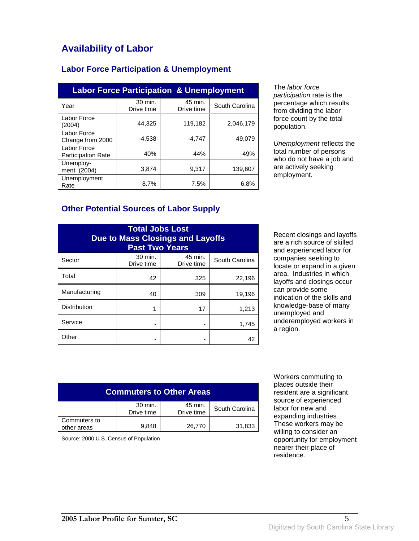### **Labor Force Participation & Unemployment**

| <b>Labor Force Participation &amp; Unemployment</b> |                       |                       |                |
|-----------------------------------------------------|-----------------------|-----------------------|----------------|
| Year                                                | 30 min.<br>Drive time | 45 min.<br>Drive time | South Carolina |
| Labor Force<br>(2004)                               | 44.325                | 119,182               | 2,046,179      |
| Labor Force<br>Change from 2000                     | $-4.538$              | $-4.747$              | 49,079         |
| Labor Force<br><b>Participation Rate</b>            | 40%                   | 44%                   | 49%            |
| Unemploy-<br>ment (2004)                            | 3.874                 | 9.317                 | 139.607        |
| Unemployment<br>Rate                                | 8.7%                  | 7.5%                  | 6.8%           |

The labor force participation rate is the percentage which results from dividing the labor force count by the total population.

Unemployment reflects the total number of persons who do not have a job and are actively seeking employment.

#### **Other Potential Sources of Labor Supply**

| <b>Total Jobs Lost</b><br><b>Due to Mass Closings and Layoffs</b><br><b>Past Two Years</b> |                       |                       |                |
|--------------------------------------------------------------------------------------------|-----------------------|-----------------------|----------------|
| Sector                                                                                     | 30 min.<br>Drive time | 45 min.<br>Drive time | South Carolina |
| Total                                                                                      | 42                    | 325                   | 22,196         |
| Manufacturing                                                                              | 40                    | 309                   | 19,196         |
| <b>Distribution</b>                                                                        | 1                     | 17                    | 1,213          |
| Service                                                                                    |                       |                       | 1,745          |
| Other                                                                                      |                       |                       | 42             |

Recent closings and layoffs are a rich source of skilled and experienced labor for companies seeking to locate or expand in a given area. Industries in which layoffs and closings occur can provide some indication of the skills and knowledge-base of many unemployed and underemployed workers in a region.

| <b>Commuters to Other Areas</b> |                       |                       |                |
|---------------------------------|-----------------------|-----------------------|----------------|
|                                 | 30 min.<br>Drive time | 45 min.<br>Drive time | South Carolina |
| Commuters to<br>other areas     | 9.848                 | 26,770                | 31,833         |

Source: 2000 U.S. Census of Population

 Workers commuting to places outside their resident are a significant source of experienced labor for new and expanding industries. These workers may be willing to consider an opportunity for employment nearer their place of residence.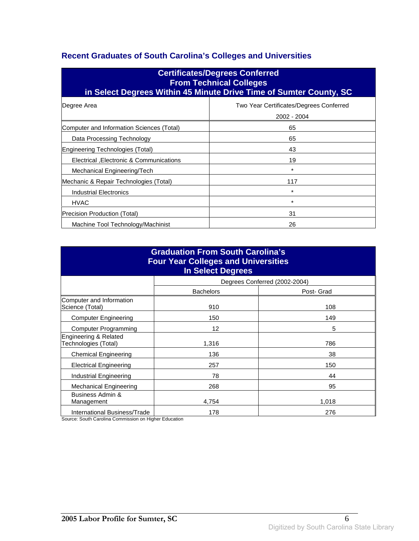### **Recent Graduates of South Carolina's Colleges and Universities**

| <b>Certificates/Degrees Conferred</b><br><b>From Technical Colleges</b><br>in Select Degrees Within 45 Minute Drive Time of Sumter County, SC |                                                        |  |
|-----------------------------------------------------------------------------------------------------------------------------------------------|--------------------------------------------------------|--|
| Degree Area                                                                                                                                   | Two Year Certificates/Degrees Conferred<br>2002 - 2004 |  |
| Computer and Information Sciences (Total)                                                                                                     | 65                                                     |  |
| Data Processing Technology                                                                                                                    | 65                                                     |  |
| Engineering Technologies (Total)                                                                                                              | 43                                                     |  |
| Electrical , Electronic & Communications                                                                                                      | 19                                                     |  |
| Mechanical Engineering/Tech                                                                                                                   | $\star$                                                |  |
| Mechanic & Repair Technologies (Total)                                                                                                        | 117                                                    |  |
| Industrial Electronics                                                                                                                        | $\star$                                                |  |
| <b>HVAC</b>                                                                                                                                   | $\star$                                                |  |
| Precision Production (Total)                                                                                                                  | 31                                                     |  |
| Machine Tool Technology/Machinist                                                                                                             | 26                                                     |  |

| <b>Graduation From South Carolina's</b><br><b>Four Year Colleges and Universities</b><br><b>In Select Degrees</b> |                  |                               |  |
|-------------------------------------------------------------------------------------------------------------------|------------------|-------------------------------|--|
|                                                                                                                   |                  | Degrees Conferred (2002-2004) |  |
|                                                                                                                   | <b>Bachelors</b> | Post- Grad                    |  |
| Computer and Information<br>Science (Total)                                                                       | 910              | 108                           |  |
| <b>Computer Engineering</b>                                                                                       | 150              | 149                           |  |
| <b>Computer Programming</b>                                                                                       | 12               | 5                             |  |
| Engineering & Related<br>Technologies (Total)                                                                     | 1,316            | 786                           |  |
| <b>Chemical Engineering</b>                                                                                       | 136              | 38                            |  |
| <b>Electrical Engineering</b>                                                                                     | 257              | 150                           |  |
| <b>Industrial Engineering</b>                                                                                     | 78               | 44                            |  |
| <b>Mechanical Engineering</b>                                                                                     | 268              | 95                            |  |
| Business Admin &<br>Management                                                                                    | 4,754            | 1,018                         |  |
| International Business/Trade                                                                                      | 178              | 276                           |  |

Source: South Carolina Commission on Higher Education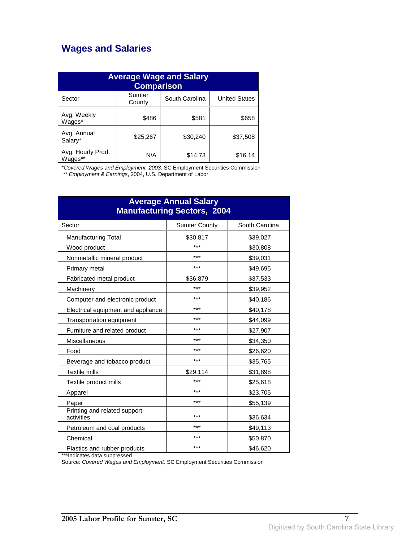## **Wages and Salaries**

| <b>Average Wage and Salary</b><br><b>Comparison</b> |                  |                |                      |
|-----------------------------------------------------|------------------|----------------|----------------------|
| Sector                                              | Sumter<br>County | South Carolina | <b>United States</b> |
| Avg. Weekly<br>Wages*                               | \$486            | \$581          | \$658                |
| Avg. Annual<br>Salarv*                              | \$25,267         | \$30,240       | \$37,508             |
| Avg. Hourly Prod.<br>Wages**                        | N/A              | \$14.73        | \$16.14              |

\*Covered Wages and Employment, 2003, SC Employment Securities Commission

\*\* Employment & Earnings, 2004, U.S. Department of Labor

| <b>Average Annual Salary</b><br><b>Manufacturing Sectors, 2004</b> |                      |                |  |
|--------------------------------------------------------------------|----------------------|----------------|--|
| Sector                                                             | <b>Sumter County</b> | South Carolina |  |
| <b>Manufacturing Total</b>                                         | \$30,817             | \$39,027       |  |
| Wood product                                                       | ***                  | \$30,808       |  |
| Nonmetallic mineral product                                        | ***                  | \$39,031       |  |
| Primary metal                                                      | ***                  | \$49,695       |  |
| Fabricated metal product                                           | \$36,879             | \$37,533       |  |
| Machinery                                                          | ***                  | \$39,952       |  |
| Computer and electronic product                                    | ***                  | \$40,186       |  |
| Electrical equipment and appliance                                 | ***                  | \$40,178       |  |
| Transportation equipment                                           | ***                  | \$44,099       |  |
| Furniture and related product                                      | ***                  | \$27,907       |  |
| Miscellaneous                                                      | ***                  | \$34,350       |  |
| Food                                                               | ***                  | \$26,620       |  |
| Beverage and tobacco product                                       | ***                  | \$35,765       |  |
| <b>Textile mills</b>                                               | \$29,114             | \$31,898       |  |
| Textile product mills                                              | ***                  | \$25,618       |  |
| Apparel                                                            | ***                  | \$23,705       |  |
| Paper                                                              | ***                  | \$55,139       |  |
| Printing and related support<br>activities                         | ***                  | \$36,634       |  |
| Petroleum and coal products                                        | ***                  | \$49,113       |  |
| Chemical                                                           | ***                  | \$50,870       |  |
| Plastics and rubber products                                       | ***                  | \$46,620       |  |

\*\*\*Indicates data suppressed

Source: Covered Wages and Employment, SC Employment Securities Commission